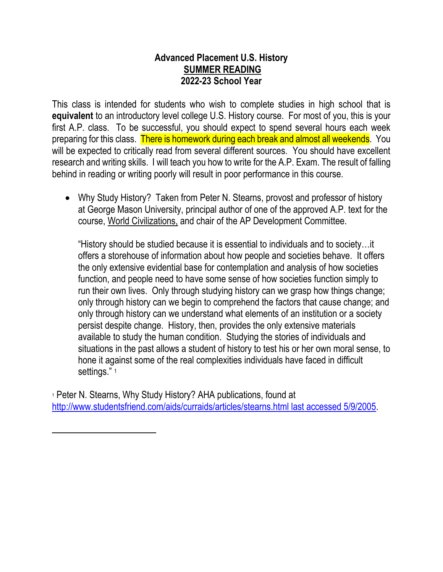## **Advanced Placement U.S. History SUMMER READING 2022-23 School Year**

This class is intended for students who wish to complete studies in high school that is **equivalent** to an introductory level college U.S. History course. For most of you, this is your first A.P. class. To be successful, you should expect to spend several hours each week preparing for this class. There is homework during each break and almost all weekends. You will be expected to critically read from several different sources. You should have excellent research and writing skills. I will teach you how to write for the A.P. Exam. The result of falling behind in reading or writing poorly will result in poor performance in this course.

 Why Study History? Taken from Peter N. Stearns, provost and professor of history at George Mason University, principal author of one of the approved A.P. text for the course, World Civilizations, and chair of the AP Development Committee.

"History should be studied because it is essential to individuals and to society…it offers a storehouse of information about how people and societies behave. It offers the only extensive evidential base for contemplation and analysis of how societies function, and people need to have some sense of how societies function simply to run their own lives. Only through studying history can we grasp how things change; only through history can we begin to comprehend the factors that cause change; and only through history can we understand what elements of an institution or a society persist despite change. History, then, provides the only extensive materials available to study the human condition. Studying the stories of individuals and situations in the past allows a student of history to test his or her own moral sense, to hone it against some of the real complexities individuals have faced in difficult settings." 1

<sup>1</sup> Peter N. Stearns, Why Study History? AHA publications, found at [http://www.studentsfriend.com/aids/curraids/articles/stearns.html last accessed 5/9/2005.](http://www.studentsfriend.com/aids/curraids/articles/stearns.html%20last%20accessed%205/9/2005)

 $\overline{a}$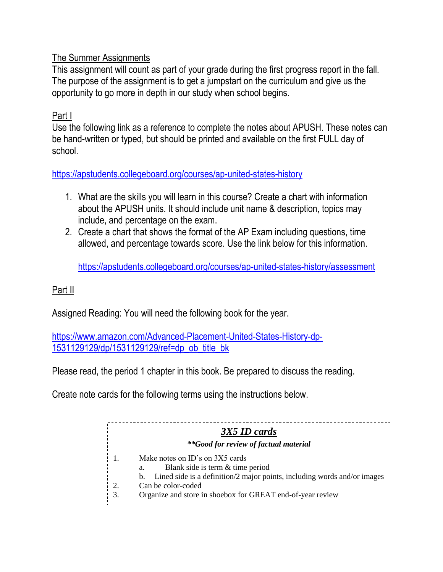# The Summer Assignments

This assignment will count as part of your grade during the first progress report in the fall. The purpose of the assignment is to get a jumpstart on the curriculum and give us the opportunity to go more in depth in our study when school begins.

# Part I

Use the following link as a reference to complete the notes about APUSH. These notes can be hand-written or typed, but should be printed and available on the first FULL day of school.

## <https://apstudents.collegeboard.org/courses/ap-united-states-history>

- 1. What are the skills you will learn in this course? Create a chart with information about the APUSH units. It should include unit name & description, topics may include, and percentage on the exam.
- 2. Create a chart that shows the format of the AP Exam including questions, time allowed, and percentage towards score. Use the link below for this information.

<https://apstudents.collegeboard.org/courses/ap-united-states-history/assessment>

### Part II

Assigned Reading: You will need the following book for the year.

[https://www.amazon.com/Advanced-Placement-United-States-History-dp-](https://www.amazon.com/Advanced-Placement-United-States-History-dp-1531129129/dp/1531129129/ref=dp_ob_title_bk)[1531129129/dp/1531129129/ref=dp\\_ob\\_title\\_bk](https://www.amazon.com/Advanced-Placement-United-States-History-dp-1531129129/dp/1531129129/ref=dp_ob_title_bk)

Please read, the period 1 chapter in this book. Be prepared to discuss the reading.

Create note cards for the following terms using the instructions below.

|    | 3X5 ID cards                                                                      |
|----|-----------------------------------------------------------------------------------|
|    | **Good for review of factual material                                             |
|    | Make notes on ID's on 3X5 cards<br>Blank side is term & time period               |
|    | a.<br>b. Lined side is a definition/2 major points, including words and/or images |
| 2. | Can be color-coded                                                                |
| 3. | Organize and store in shoebox for GREAT end-of-year review                        |